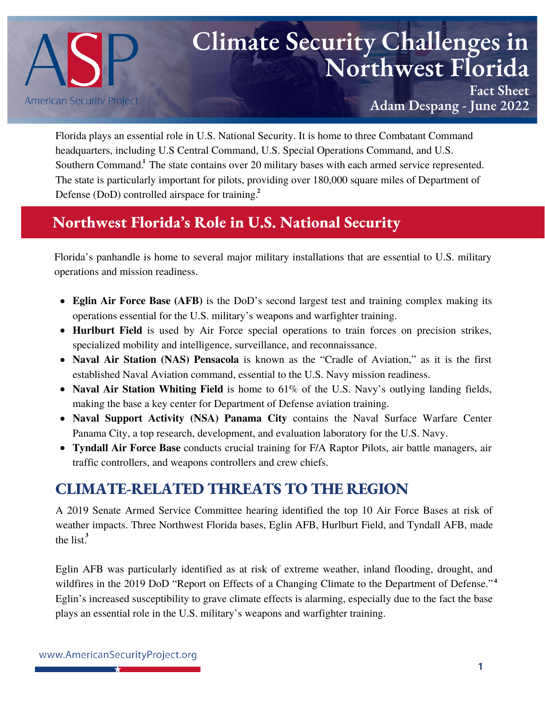

# **Climate Security Challenges in Northwest Florida**

**Fact Sheet Adam Despang - June 2022**

Florida plays an essential role in U.S. National Security. It is [home](https://www.americansecurityproject.org/perspective-national-security-implications-of-climate-change-in-florida/) to three Combatant Command headquarters, including U.S Central Command, U.S. Special Operations Command, and U.S. Southern Command.<sup>1</sup> The state contains over 20 military bases with each armed service represented. The state is [particularly](https://www.iadc.org/wp-content/uploads/2018/05/DOD-Offshore-Report.pdf) important for pilots, providing over 180,000 square miles of Department of Defense (DoD) controlled airspace for training. **2**

## **Northwest Florida's Role in U.S. National Security**

Florida's panhandle is home to several major military installations that are essential to U.S. military operations and mission readiness.

- **Eglin Air Force Base (AFB)** is the DoD's second largest test and training complex making its operations essential for the U.S. military's weapons and warfighter training.
- **Hurlburt Field** is used by Air Force special operations to train forces on precision strikes, specialized mobility and intelligence, surveillance, and reconnaissance.
- **Naval Air Station (NAS) Pensacola** is known as the "Cradle of Aviation," as it is the first established Naval Aviation command, essential to the U.S. Navy mission readiness.
- **Naval Air Station Whiting Field** is home to 61% of the U.S. Navy's outlying landing fields, making the base a key center for Department of Defense aviation training.
- **Naval Support Activity (NSA) Panama City** contains the Naval Surface Warfare Center Panama City, a top research, development, and evaluation laboratory for the U.S. Navy.
- **Tyndall Air Force Base** conducts crucial training for F/A Raptor Pilots, air battle managers, air traffic controllers, and weapons controllers and crew chiefs.

# **CLIMATE-RELATED THREATS TO THE REGION**

A 2019 Senate Armed Service Committee hearing [identified](https://climateandsecurity.files.wordpress.com/2019/06/air-force-input-10-installations-most-impacted-by-climate-change-1.pdf) the top 10 Air Force Bases at risk of weather impacts. Three Northwest Florida bases, Eglin AFB, Hurlburt Field, and Tyndall AFB, made the list. **3**

Eglin AFB was [particularly](https://media.defense.gov/2019/Jan/29/2002084200/-1/-1/1/CLIMATE-CHANGE-REPORT-2019.PDF) identified as at risk of extreme weather, inland flooding, drought, and wildfires in the 2019 DoD "Report on Effects of a Changing Climate to the Department of Defense."<sup>4</sup> Eglin's increased susceptibility to grave climate effects is alarming, especially due to the fact the base plays an essential role in the U.S. military's weapons and warfighter training.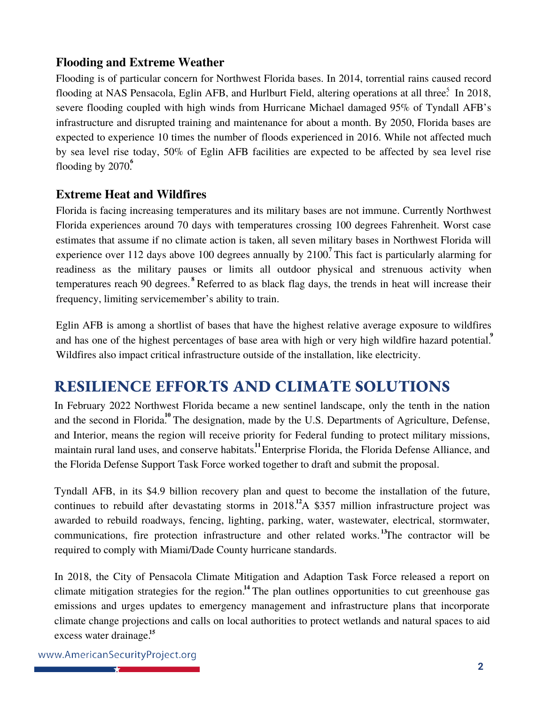#### **Flooding and Extreme Weather**

Flooding is of particular concern for Northwest Florida bases. In 2014, torrential rains caused record flooding at NAS Pensacola, Eglin AFB, and Hurlburt Field, [altering](https://www.sun-sentinel.com/opinion/commentary/fl-op-com-invading-sea-climate-change-military-20210409-jx4iv2yyobecveam7flu6mwyce-story.html) operations at all three.<sup>5</sup> In 2018, severe flooding coupled with high winds from Hurricane Michael damaged 95% of Tyndall AFB's infrastructure and disrupted training and maintenance for about a month. By 2050, Florida bases are expected to [experience](https://www.ucsusa.org/resources/us-military-front-lines-rising-seas) 10 times the number of floods experienced in 2016. While not affected much by sea level rise today, 50% of Eglin AFB facilities are expected to be affected by sea level rise flooding by 2070.<sup>6</sup>

#### **Extreme Heat and Wildfires**

Florida is facing increasing temperatures and its military bases are not immune. Currently Northwest Florida experiences around 70 days with temperatures crossing 100 degrees Fahrenheit. Worst case estimates that assume if no climate action is taken, all seven military bases in Northwest Florida will experience over 112 days above 100 degrees annually by 2100.<sup>7</sup> This fact is particularly alarming for readiness as the military [pauses](https://adminpubs.tradoc.army.mil/regulations/TR350-29.pdf) or limits all outdoor physical and strenuous activity when temperatures reach 90 degrees.<sup>8</sup> Referred to as black flag days, the trends in heat will increase their frequency, limiting servicemember's ability to train.

Eglin AFB is among a shortlist of bases that have the highest relative average [exposure](https://www.rand.org/pubs/research_briefs/RBA523-1.html) to wildfires and has one of the highest percentages of base area with high or very high wildfire hazard potential.<sup>9</sup> Wildfires also impact critical infrastructure outside of the installation, like electricity.

## **RESILIENCE EFFORTS AND CLIMATE SOLUTIONS**

In February 2022 Northwest Florida became a new sentinel [landscape](https://www.enterpriseflorida.com/news/enterprise-florida-announces-designation-of-northwest-florida-as-a-sentinel-landscape/), only the tenth in the nation and the second in Florida.<sup>10</sup> The designation, made by the U.S. Departments of Agriculture, Defense, and Interior, means the [region](https://sentinellandscapes.org/landscapes/northwest-florida/) will receive priority for Federal funding to protect military missions, maintain rural land uses, and conserve habitats.<sup>11</sup> Enterprise Florida, the Florida Defense Alliance, and the Florida Defense Support Task Force worked together to draft and submit the proposal.

Tyndall AFB, in its \$4.9 billion recovery plan and quest to become the [installation](https://www.tyndallifs.com/) of the future, continues to rebuild after devastating storms in  $2018<sup>12</sup>A$  \$357 million [infrastructure](https://www.newsherald.com/story/news/military/tyndall/2022/05/10/tyndall-air-force-base-contract-awarded-infrastructure-project/9657769002/) project was awarded to rebuild roadways, fencing, lighting, parking, water, wastewater, electrical, stormwater, communications, fire protection infrastructure and other related works.<sup>13</sup>The contractor will be required to comply with Miami/Dade County hurricane standards.

In 2018, the City of Pensacola Climate Mitigation and Adaption Task Force released a [report](https://www.cityofpensacola.com/DocumentCenter/View/15491/Climate-Mitigation-and-Adaptation-Task-Force-Report-PDF) on climate mitigation strategies for the region.<sup>14</sup> The plan outlines opportunities to cut greenhouse gas emissions and urges updates to emergency management and infrastructure plans that incorporate climate change projections and calls on local authorities to protect wetlands and natural spaces to aid excess water drainage. **15**

www.AmericanSecurityProject.org उम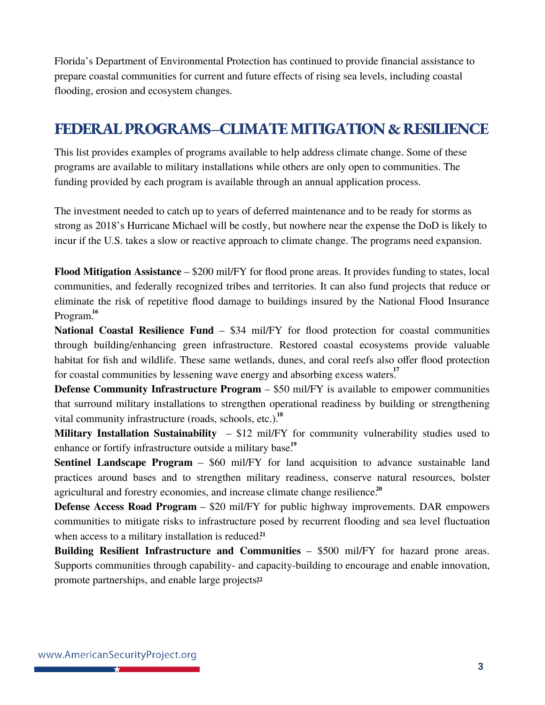Florida's Department of Environmental Protection has continued to provide financial assistance to prepare coastal communities for current and future effects of rising sea levels, including coastal flooding, erosion and ecosystem changes.

### **FEDERALPROGRAMS–CLIMATEMITIGATION & RESILIENCE**

This list provides examples of programs available to help address climate change. Some of these programs are available to military installations while others are only open to communities. The funding provided by each program is available through an annual application process.

The investment needed to catch up to years of deferred maintenance and to be ready for storms as strong as 2018's Hurricane Michael will be costly, but nowhere near the expense the DoD is likely to incur if the U.S. takes a slow or reactive approach to climate change. The programs need expansion.

**Flood [Mitigation](https://www.fema.gov/grants/mitigation/floods) Assistance** – \$200 mil/FY for flood prone areas. It provides funding to states, local communities, and federally recognized tribes and territories. It can also fund projects that reduce or eliminate the risk of repetitive flood damage to buildings insured by the National Flood Insurance Program. **16**

**National Coastal [Resilience](https://coast.noaa.gov/resilience-grant/) Fund** – \$34 mil/FY for flood protection for coastal communities through building/enhancing green infrastructure. Restored coastal ecosystems provide valuable habitat for fish and wildlife. These same wetlands, dunes, and coral reefs also offer flood protection for coastal communities by lessening wave energy and absorbing excess waters. **17**

**Defense Community [Infrastructure](https://oldcc.gov/defense-community-infrastructure-program-dcip) Program** – \$50 mil/FY is available to empower communities that surround military installations to strengthen operational readiness by building or strengthening vital community infrastructure (roads, schools, etc.). **18**

**Military Installation [Sustainability](https://oldcc.gov/our-programs/military-installation-sustainability)** – \$12 mil/FY for community vulnerability studies used to enhance or fortify infrastructure outside a military base.<sup>19</sup>

**Sentinel [Landscape](https://sentinellandscapes.org/) Program** – \$60 mil/FY for land acquisition to advance sustainable land practices around bases and to strengthen military readiness, conserve natural resources, bolster agricultural and forestry economies, and increase climate change resilience. **20**

**Defense Access Road [Program](https://highways.dot.gov/federal-lands/programs/defense)** – \$20 mil/FY for public highway improvements. DAR empowers communities to mitigate risks to infrastructure posed by recurrent flooding and sea level fluctuation when access to a military installation is reduced.<sup>21</sup>

**Building Resilient [Infrastructure](https://www.fema.gov/grants/mitigation/building-resilient-infrastructure-communities) and Communities** – \$500 mil/FY for hazard prone areas. Supports communities through capability- and capacity-building to encourage and enable innovation, promote partnerships, and enable large projects<sup>22</sup>